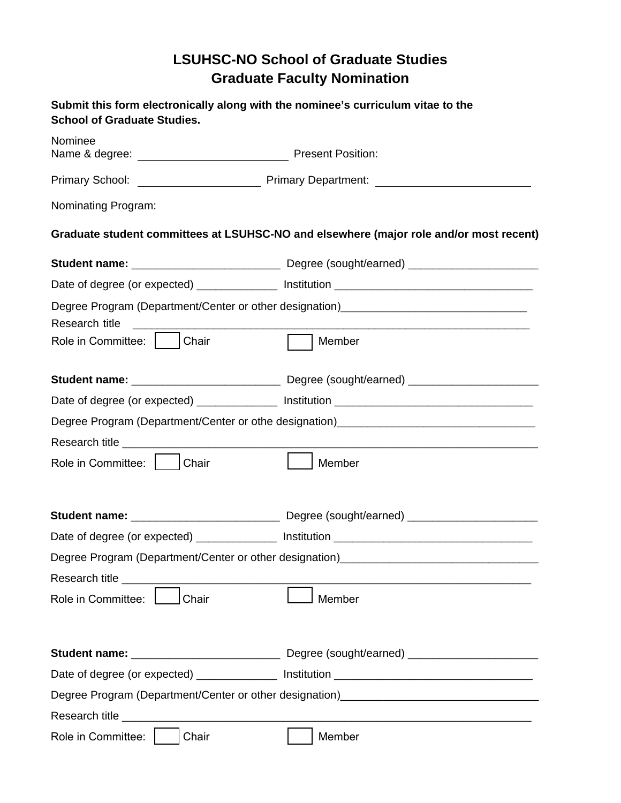## **LSUHSC-NO School of Graduate Studies Graduate Faculty Nomination**

| Submit this form electronically along with the nominee's curriculum vitae to the<br><b>School of Graduate Studies.</b> |                                                                                        |
|------------------------------------------------------------------------------------------------------------------------|----------------------------------------------------------------------------------------|
| Nominee                                                                                                                |                                                                                        |
|                                                                                                                        |                                                                                        |
| Nominating Program:                                                                                                    |                                                                                        |
|                                                                                                                        | Graduate student committees at LSUHSC-NO and elsewhere (major role and/or most recent) |
|                                                                                                                        |                                                                                        |
|                                                                                                                        |                                                                                        |
| Research title                                                                                                         | Degree Program (Department/Center or other designation)_________________________       |
| Role in Committee:       Chair                                                                                         | Member                                                                                 |
|                                                                                                                        |                                                                                        |
|                                                                                                                        | Degree Program (Department/Center or othe designation)___________________________      |
|                                                                                                                        |                                                                                        |
| Role in Committee:   Chair                                                                                             | Member                                                                                 |
|                                                                                                                        |                                                                                        |
|                                                                                                                        |                                                                                        |
|                                                                                                                        | Degree Program (Department/Center or other designation)__________________________      |
|                                                                                                                        |                                                                                        |
| Role in Committee:<br>Chair                                                                                            | Member                                                                                 |
|                                                                                                                        |                                                                                        |
|                                                                                                                        |                                                                                        |
|                                                                                                                        | Degree Program (Department/Center or other designation)__________________________      |
|                                                                                                                        |                                                                                        |
| Role in Committee:<br>Chair                                                                                            | Member                                                                                 |